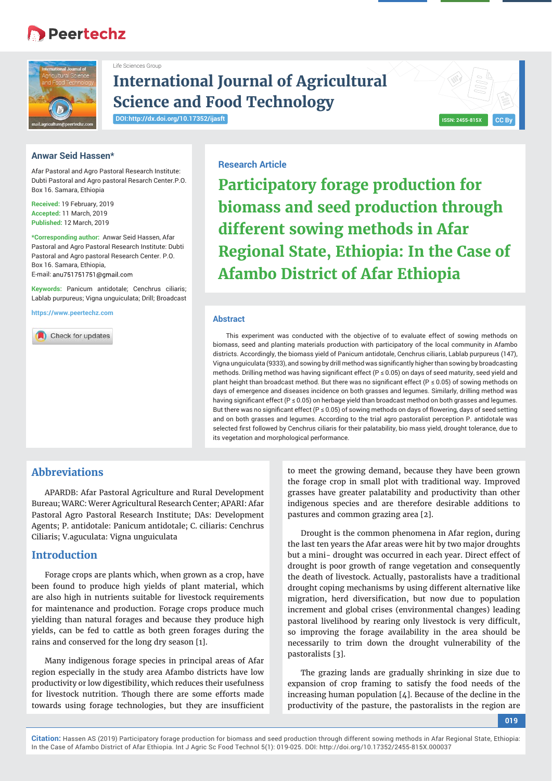# **Peertechz**



# **International Journal of Agricultural Science and Food Technology**

**DOI: http://dx.doi.org/10.17352/ijasft**

Life Sciences Group



## **Anwar Seid Hassen\***

Afar Pastoral and Agro Pastoral Research Institute: Dubti Pastoral and Agro pastoral Resarch Center.P.O. Box 16. Samara, Ethiopia

**Received:** 19 February, 2019 **Accepted:** 11 March, 2019 **Published:** 12 March, 2019

**\*Corresponding author:** Anwar Seid Hassen, Afar Pastoral and Agro Pastoral Research Institute: Dubti Pastoral and Agro pastoral Research Center. P.O. Box 16. Samara, Ethiopia, E-mail: anu751751751@gmail.com

**Keywords:** Panicum antidotale; Cenchrus ciliaris; Lablab purpureus; Vigna unguiculata; Drill; Broadcast

**https://www.peertechz.com**

Check for updates

## **Research Article**

**Participatory forage production for biomass and seed production through different sowing methods in Afar Regional State, Ethiopia: In the Case of Afambo District of Afar Ethiopia**

#### **Abstract**

This experiment was conducted with the objective of to evaluate effect of sowing methods on biomass, seed and planting materials production with participatory of the local community in Afambo districts. Accordingly, the biomass yield of Panicum antidotale, Cenchrus ciliaris, Lablab purpureus (147), Vigna unguiculata (9333), and sowing by drill method was significantly higher than sowing by broadcasting methods. Drilling method was having significant effect ( $P \le 0.05$ ) on days of seed maturity, seed yield and plant height than broadcast method. But there was no significant effect (P  $\leq$  0.05) of sowing methods on days of emergence and diseases incidence on both grasses and legumes. Similarly, drilling method was having significant effect (P ≤ 0.05) on herbage yield than broadcast method on both grasses and legumes. But there was no significant effect (P  $\leq$  0.05) of sowing methods on days of flowering, days of seed setting and on both grasses and legumes. According to the trial agro pastoralist perception P. antidotale was selected first followed by Cenchrus ciliaris for their palatability, bio mass yield, drought tolerance, due to its vegetation and morphological performance.

# **Abbreviations**

APARDB: Afar Pastoral Agriculture and Rural Development Bureau; WARC: Werer Agricultural Research Center; APARI: Afar Pastoral Agro Pastoral Research Institute; DAs: Development Agents; P. antidotale: Panicum antidotale; C. ciliaris: Cenchrus Ciliaris; V.aguculata: Vigna unguiculata

## **Introduction**

Forage crops are plants which, when grown as a crop, have been found to produce high yields of plant material, which are also high in nutrients suitable for livestock requirements for maintenance and production. Forage crops produce much yielding than natural forages and because they produce high yields, can be fed to cattle as both green forages during the rains and conserved for the long dry season [1].

Many indigenous forage species in principal areas of Afar region especially in the study area Afambo districts have low productivity or low digestibility, which reduces their usefulness for livestock nutrition. Though there are some efforts made towards using forage technologies, but they are insufficient

to meet the growing demand, because they have been grown the forage crop in small plot with traditional way. Improved grasses have greater palatability and productivity than other indigenous species and are therefore desirable additions to pastures and common grazing area [2].

Drought is the common phenomena in Afar region, during the last ten years the Afar areas were hit by two major droughts but a mini- drought was occurred in each year. Direct effect of drought is poor growth of range vegetation and consequently the death of livestock. Actually, pastoralists have a traditional drought coping mechanisms by using different alternative like migration, herd diversification, but now due to population increment and global crises (environmental changes) leading pastoral livelihood by rearing only livestock is very difficult, so improving the forage availability in the area should be necessarily to trim down the drought vulnerability of the pastoralists [3].

The grazing lands are gradually shrinking in size due to expansion of crop framing to satisfy the food needs of the increasing human population [4]. Because of the decline in the productivity of the pasture, the pastoralists in the region are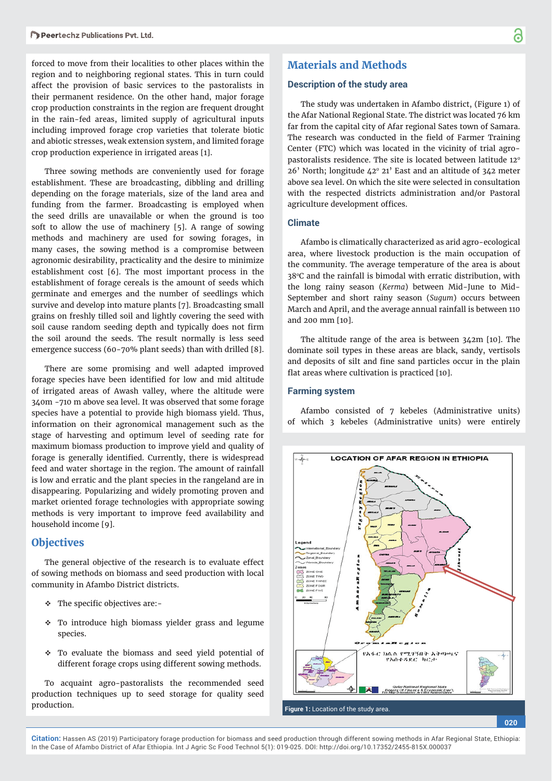forced to move from their localities to other places within the region and to neighboring regional states. This in turn could affect the provision of basic services to the pastoralists in their permanent residence. On the other hand, major forage crop production constraints in the region are frequent drought in the rain-fed areas, limited supply of agricultural inputs including improved forage crop varieties that tolerate biotic and abiotic stresses, weak extension system, and limited forage crop production experience in irrigated areas [1].

Three sowing methods are conveniently used for forage establishment. These are broadcasting, dibbling and drilling depending on the forage materials, size of the land area and funding from the farmer. Broadcasting is employed when the seed drills are unavailable or when the ground is too soft to allow the use of machinery [5]. A range of sowing methods and machinery are used for sowing forages, in many cases, the sowing method is a compromise between agronomic desirability, practicality and the desire to minimize establishment cost [6]. The most important process in the establishment of forage cereals is the amount of seeds which germinate and emerges and the number of seedlings which survive and develop into mature plants [7]. Broadcasting small grains on freshly tilled soil and lightly covering the seed with soil cause random seeding depth and typically does not firm the soil around the seeds. The result normally is less seed emergence success (60-70% plant seeds) than with drilled [8].

There are some promising and well adapted improved forage species have been identified for low and mid altitude of irrigated areas of Awash valley, where the altitude were 340m -710 m above sea level. It was observed that some forage species have a potential to provide high biomass yield. Thus, information on their agronomical management such as the stage of harvesting and optimum level of seeding rate for maximum biomass production to improve yield and quality of forage is generally identified. Currently, there is widespread feed and water shortage in the region. The amount of rainfall is low and erratic and the plant species in the rangeland are in disappearing. Popularizing and widely promoting proven and market oriented forage technologies with appropriate sowing methods is very important to improve feed availability and household income [9].

## **Objectives**

The general objective of the research is to evaluate effect of sowing methods on biomass and seed production with local community in Afambo District districts.

- $\div$  The specific objectives are:-
- $\div$  To introduce high biomass yielder grass and legume species.
- \* To evaluate the biomass and seed yield potential of different forage crops using different sowing methods.

To acquaint agro-pastoralists the recommended seed production techniques up to seed storage for quality seed production.

## **Materials and Methods**

### **Description of the study area**

The study was undertaken in Afambo district, (Figure 1) of the Afar National Regional State. The district was located 76 km far from the capital city of Afar regional Sates town of Samara. The research was conducted in the field of Farmer Training Center (FTC) which was located in the vicinity of trial agropastoralists residence. The site is located between latitude 12<sup>°</sup>  $26'$  North; longitude  $42^{\circ}$  21' East and an altitude of  $342$  meter above sea level. On which the site were selected in consultation with the respected districts administration and/or Pastoral agriculture development offices.

#### **Climate**

Afambo is climatically characterized as arid agro-ecological area, where livestock production is the main occupation of the community. The average temperature of the area is about 38°C and the rainfall is bimodal with erratic distribution, with the long rainy season (*Kerma*) between Mid-June to Mid-September and short rainy season (*Sugum*) occurs between March and April, and the average annual rainfall is between 110 and 200 mm [10].

The altitude range of the area is between 342m [10]. The dominate soil types in these areas are black, sandy, vertisols and deposits of silt and fine sand particles occur in the plain flat areas where cultivation is practiced  $[10]$ .

### **Farming system**

Afambo consisted of 7 kebeles (Administrative units) of which 3 kebeles (Administrative units) were entirely

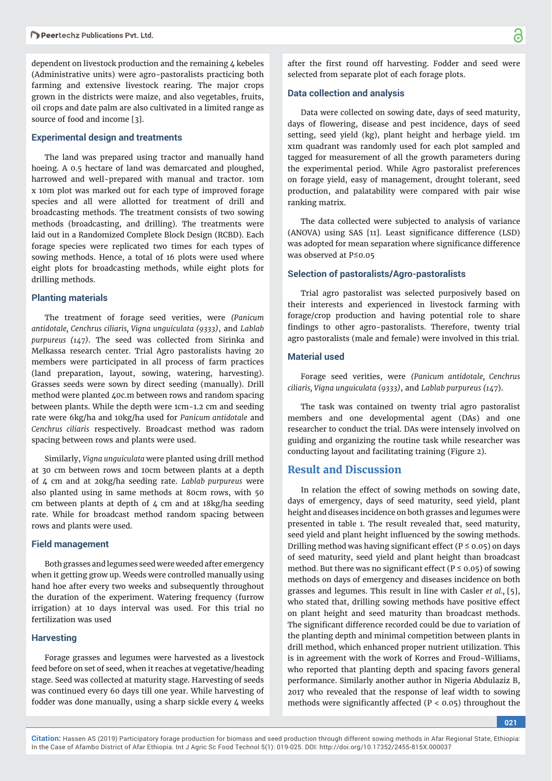dependent on livestock production and the remaining 4 kebeles (Administrative units) were agro-pastoralists practicing both farming and extensive livestock rearing. The major crops grown in the districts were maize, and also vegetables, fruits, oil crops and date palm are also cultivated in a limited range as source of food and income [3].

#### **Experimental design and treatments**

The land was prepared using tractor and manually hand hoeing. A 0.5 hectare of land was demarcated and ploughed, harrowed and well-prepared with manual and tractor. 10m x 10m plot was marked out for each type of improved forage species and all were allotted for treatment of drill and broadcasting methods. The treatment consists of two sowing methods (broadcasting, and drilling). The treatments were laid out in a Randomized Complete Block Design (RCBD). Each forage species were replicated two times for each types of sowing methods. Hence, a total of 16 plots were used where eight plots for broadcasting methods, while eight plots for drilling methods.

#### **Planting materials**

The treatment of forage seed verities, were *(Panicum antidotale, Cenchrus ciliaris, Vigna unguiculata (9333)*, and *Lablab purpureus (147)*. The seed was collected from Sirinka and Melkassa research center. Trial Agro pastoralists having 20 members were participated in all process of farm practices (land preparation, layout, sowing, watering, harvesting). Grasses seeds were sown by direct seeding (manually). Drill method were planted 40c.m between rows and random spacing between plants. While the depth were 1cm-1.2 cm and seeding rate were 6kg/ha and 10kg/ha used for *Panicum antidotale* and *Cenchrus ciliaris* respectively. Broadcast method was radom spacing between rows and plants were used.

Similarly, *Vigna unguiculata* were planted using drill method at 30 cm between rows and 10cm between plants at a depth of 4 cm and at 20kg/ha seeding rate. *Lablab purpureus* were also planted using in same methods at 80cm rows, with 50 cm between plants at depth of 4 cm and at 18kg/ha seeding rate. While for broadcast method random spacing between rows and plants were used.

#### **Field management**

Both grasses and legumes seed were weeded after emergency when it getting grow up. Weeds were controlled manually using hand hoe after every two weeks and subsequently throughout the duration of the experiment. Watering frequency (furrow irrigation) at 10 days interval was used. For this trial no fertilization was used

#### **Harvesting**

Forage grasses and legumes were harvested as a livestock feed before on set of seed, when it reaches at vegetative/heading stage. Seed was collected at maturity stage. Harvesting of seeds was continued every 60 days till one year. While harvesting of fodder was done manually, using a sharp sickle every  $4$  weeks

after the first round off harvesting. Fodder and seed were selected from separate plot of each forage plots.

#### **Data collection and analysis**

Data were collected on sowing date, days of seed maturity, days of flowering, disease and pest incidence, days of seed setting, seed yield (kg), plant height and herbage yield. 1m x1m quadrant was randomly used for each plot sampled and tagged for measurement of all the growth parameters during the experimental period. While Agro pastoralist preferences on forage yield, easy of management, drought tolerant, seed production, and palatability were compared with pair wise ranking matrix.

The data collected were subjected to analysis of variance (ANOVA) using SAS [11]. Least significance difference (LSD) was adopted for mean separation where significance difference was observed at P≤0.05

#### **Selection of pastoralists/Agro-pastoralists**

Trial agro pastoralist was selected purposively based on their interests and experienced in livestock farming with forage/crop production and having potential role to share findings to other agro-pastoralists. Therefore, twenty trial agro pastoralists (male and female) were involved in this trial.

#### **Material used**

Forage seed verities, were *(Panicum antidotale, Cenchrus ciliaris, Vigna unguiculata (9333)*, and *Lablab purpureus (147*).

The task was contained on twenty trial agro pastoralist members and one developmental agent (DAs) and one researcher to conduct the trial. DAs were intensely involved on guiding and organizing the routine task while researcher was conducting layout and facilitating training (Figure 2).

## **Result and Discussion**

In relation the effect of sowing methods on sowing date, days of emergency, days of seed maturity, seed yield, plant height and diseases incidence on both grasses and legumes were presented in table 1. The result revealed that, seed maturity, seed yield and plant height influenced by the sowing methods. Drilling method was having significant effect ( $P \le 0.05$ ) on days of seed maturity, seed yield and plant height than broadcast method. But there was no significant effect ( $P \le 0.05$ ) of sowing methods on days of emergency and diseases incidence on both grasses and legumes. This result in line with Casler *et al.,* [5], who stated that, drilling sowing methods have positive effect on plant height and seed maturity than broadcast methods. The significant difference recorded could be due to variation of the planting depth and minimal competition between plants in drill method, which enhanced proper nutrient utilization. This is in agreement with the work of Korres and Froud-Williams, who reported that planting depth and spacing favors general performance. Similarly another author in Nigeria Abdulaziz B, 2017 who revealed that the response of leaf width to sowing methods were significantly affected ( $P < 0.05$ ) throughout the

**021**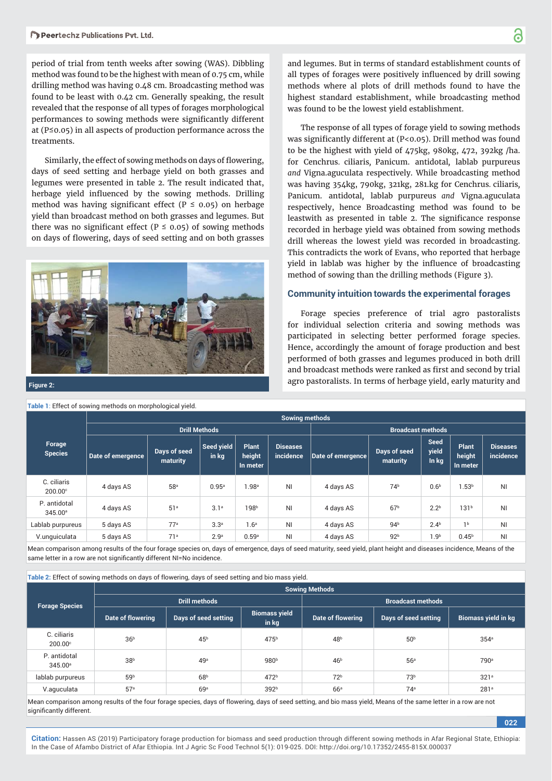period of trial from tenth weeks after sowing (WAS). Dibbling method was found to be the highest with mean of 0.75 cm, while drilling method was having 0.48 cm. Broadcasting method was found to be least with 0.42 cm. Generally speaking, the result revealed that the response of all types of forages morphological performances to sowing methods were significantly different at (P≤0.05) in all aspects of production performance across the treatments.

Similarly, the effect of sowing methods on days of flowering, days of seed setting and herbage yield on both grasses and legumes were presented in table 2. The result indicated that, herbage yield influenced by the sowing methods. Drilling method was having significant effect ( $P \le 0.05$ ) on herbage yield than broadcast method on both grasses and legumes. But there was no significant effect (P  $\leq$  0.05) of sowing methods on days of flowering, days of seed setting and on both grasses



**Table 1**: Effect of sowing methods on morphological yield.

and legumes. But in terms of standard establishment counts of all types of forages were positively influenced by drill sowing methods where al plots of drill methods found to have the highest standard establishment, while broadcasting method was found to be the lowest yield establishment.

The response of all types of forage yield to sowing methods was significantly different at (P<0.05). Drill method was found to be the highest with yield of 475kg, 980kg, 472, 392kg /ha. for Cenchrus*.* ciliaris*,* Panicum. antidotal*,* lablab purpureus *and* Vigna.aguculata respectively. While broadcasting method was having 354kg, 790kg, 321kg, 281.kg for Cenchrus*.* ciliaris*,*  Panicum. antidotal*,* lablab purpureus *and* Vigna.aguculata respectively, hence Broadcasting method was found to be leastwith as presented in table 2. The significance response recorded in herbage yield was obtained from sowing methods drill whereas the lowest yield was recorded in broadcasting. This contradicts the work of Evans, who reported that herbage yield in lablab was higher by the influence of broadcasting method of sowing than the drilling methods (Figure 3).

#### **Community intuition towards the experimental forages**

Forage species preference of trial agro pastoralists for individual selection criteria and sowing methods was participated in selecting better performed forage species. Hence, accordingly the amount of forage production and best performed of both grasses and legumes produced in both drill and broadcast methods were ranked as first and second by trial agro pastoralists. In terms of herbage yield, early maturity and **Figure 2:**

|                                     | <b>Sowing methods</b> |                          |                                                  |                             |                              |                   |                          |                                      |                                    |                              |  |  |  |  |  |
|-------------------------------------|-----------------------|--------------------------|--------------------------------------------------|-----------------------------|------------------------------|-------------------|--------------------------|--------------------------------------|------------------------------------|------------------------------|--|--|--|--|--|
|                                     |                       |                          | <b>Drill Methods</b><br><b>Broadcast methods</b> |                             |                              |                   |                          |                                      |                                    |                              |  |  |  |  |  |
| Forage<br><b>Species</b>            | Date of emergence     | Days of seed<br>maturity | Seed yield<br>in kg                              | Plant<br>height<br>In meter | <b>Diseases</b><br>incidence | Date of emergence | Days of seed<br>maturity | <b>Seed</b><br><b>yield</b><br>In kg | <b>Plant</b><br>height<br>In meter | <b>Diseases</b><br>incidence |  |  |  |  |  |
| C. ciliaris<br>$200.00$ °           | 4 days AS             | 58ª                      | 0.95a                                            | 1.98 <sup>a</sup>           | NI                           | 4 days AS         | 74 <sup>b</sup>          | 0.6 <sup>b</sup>                     | 1.53 <sup>b</sup>                  | <b>NI</b>                    |  |  |  |  |  |
| P. antidotal<br>345.00 <sup>a</sup> | 4 days AS             | 51 <sup>a</sup>          | 3.1 <sup>a</sup>                                 | 198 <sup>b</sup>            | N <sub>1</sub>               | 4 days AS         | 67 <sup>b</sup>          | $2.2^{b}$                            | 131 <sup>b</sup>                   | <b>NI</b>                    |  |  |  |  |  |
| Lablab purpureus                    | 5 days AS             | 77 <sup>a</sup>          | 3.3 <sup>a</sup>                                 | 1.6 <sup>a</sup>            | NI                           | 4 days AS         | 94 <sup>b</sup>          | 2.4 <sup>b</sup>                     | 1 <sup>b</sup>                     | <b>NI</b>                    |  |  |  |  |  |
| V.unguiculata                       | 5 days AS             | 71 <sup>a</sup>          | 2.9 <sup>a</sup>                                 | 0.59a                       | NI                           | 4 days AS         | 92 <sup>b</sup>          | 1.9 <sup>b</sup>                     | 0.45 <sup>b</sup>                  | <b>NI</b>                    |  |  |  |  |  |

Mean comparison among results of the four forage species on, days of emergence, days of seed maturity, seed yield, plant height and diseases incidence, Means of the same letter in a row are not significantly different NI=No incidence.

Table 2: Effect of sowing methods on days of flowering, days of seed setting and bio mass yield.

|                                     | <b>Sowing Methods</b> |                      |                               |                          |                      |                     |  |  |  |  |  |  |  |
|-------------------------------------|-----------------------|----------------------|-------------------------------|--------------------------|----------------------|---------------------|--|--|--|--|--|--|--|
| <b>Forage Species</b>               |                       | <b>Drill methods</b> |                               | <b>Broadcast methods</b> |                      |                     |  |  |  |  |  |  |  |
|                                     | Date of flowering     | Days of seed setting | <b>Biomass yield</b><br>in kg | Date of flowering        | Days of seed setting | Biomass yield in kg |  |  |  |  |  |  |  |
| C. ciliaris<br>$200.00^\circ$       | 36 <sup>b</sup>       | 45 <sup>b</sup>      | 475 <sup>b</sup>              | 48 <sup>b</sup>          | 50 <sup>b</sup>      | 354a                |  |  |  |  |  |  |  |
| P. antidotal<br>345.00 <sup>a</sup> | 38 <sup>b</sup>       | 49 <sup>a</sup>      | 980 <sup>b</sup>              | 46 <sup>b</sup>          | 56 <sup>a</sup>      | 790 <sup>a</sup>    |  |  |  |  |  |  |  |
| lablab purpureus                    | 59 <sup>b</sup>       | 68 <sup>b</sup>      | 472 <sup>b</sup>              | 72 <sup>b</sup>          | 73 <sup>b</sup>      | 321 <sup>a</sup>    |  |  |  |  |  |  |  |
| V.aguculata                         | 57 <sup>a</sup>       | 69a                  | 392 <sup>b</sup>              | 66 <sup>a</sup>          | 74 <sup>a</sup>      | 281 <sup>a</sup>    |  |  |  |  |  |  |  |

Mean comparison among results of the four forage species, days of flowering, days of seed setting, and bio mass yield, Means of the same letter in a row are not significantly different.

፟፟፟፟

**022**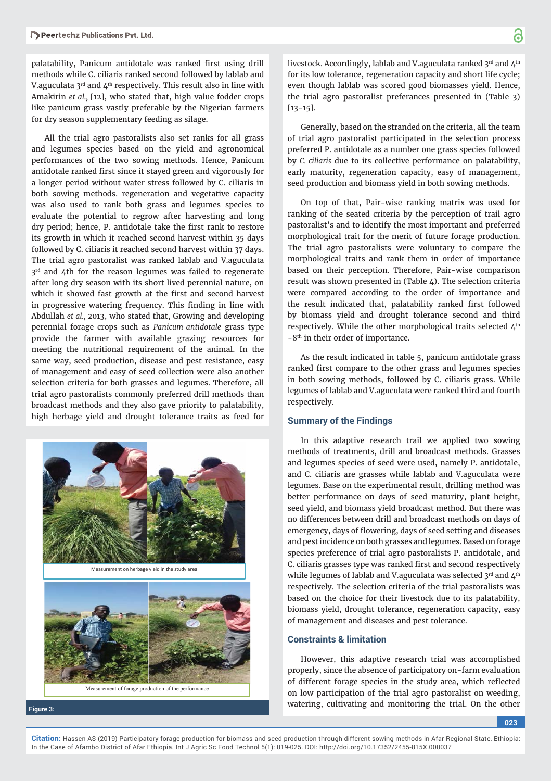palatability, Panicum antidotale was ranked first using drill methods while C. ciliaris ranked second followed by lablab and V.aguculata  $3<sup>rd</sup>$  and  $4<sup>th</sup>$  respectively. This result also in line with Amakirin *et al.,* [12], who stated that, high value fodder crops like panicum grass vastly preferable by the Nigerian farmers for dry season supplementary feeding as silage.

All the trial agro pastoralists also set ranks for all grass and legumes species based on the yield and agronomical performances of the two sowing methods. Hence, Panicum antidotale ranked first since it stayed green and vigorously for a longer period without water stress followed by C. ciliaris in both sowing methods. regeneration and vegetative capacity was also used to rank both grass and legumes species to evaluate the potential to regrow after harvesting and long dry period; hence, P. antidotale take the first rank to restore its growth in which it reached second harvest within 35 days followed by C. ciliaris it reached second harvest within 37 days. The trial agro pastoralist was ranked lablab and V.aguculata 3<sup>rd</sup> and 4th for the reason legumes was failed to regenerate after long dry season with its short lived perennial nature, on which it showed fast growth at the first and second harvest in progressive watering frequency. This finding in line with Abdullah *et al.,* 2013, who stated that, Growing and developing perennial forage crops such as *Panicum antidotale* grass type provide the farmer with available grazing resources for meeting the nutritional requirement of the animal. In the same way, seed production, disease and pest resistance, easy of management and easy of seed collection were also another selection criteria for both grasses and legumes. Therefore, all trial agro pastoralists commonly preferred drill methods than broadcast methods and they also gave priority to palatability, high herbage yield and drought tolerance traits as feed for



Measurement on herbage yield in the study area



**Figure 3:**

livestock. Accordingly, lablab and V.aguculata ranked 3rd and 4th for its low tolerance, regeneration capacity and short life cycle; even though lablab was scored good biomasses yield. Hence, the trial agro pastoralist preferances presented in (Table 3) [13-15].

Generally, based on the stranded on the criteria, all the team of trial agro pastoralist participated in the selection process preferred P. antidotale as a number one grass species followed by *C. ciliaris* due to its collective performance on palatability, early maturity, regeneration capacity, easy of management, seed production and biomass yield in both sowing methods.

On top of that, Pair-wise ranking matrix was used for ranking of the seated criteria by the perception of trail agro pastoralist's and to identify the most important and preferred morphological trait for the merit of future forage production. The trial agro pastoralists were voluntary to compare the morphological traits and rank them in order of importance based on their perception. Therefore, Pair-wise comparison result was shown presented in (Table 4). The selection criteria were compared according to the order of importance and the result indicated that, palatability ranked first followed by biomass yield and drought tolerance second and third respectively. While the other morphological traits selected  $4<sup>th</sup>$ -8<sup>th</sup> in their order of importance.

As the result indicated in table 5, panicum antidotale grass ranked first compare to the other grass and legumes species in both sowing methods, followed by C. ciliaris grass. While legumes of lablab and V.aguculata were ranked third and fourth respectively.

#### **Summary of the Findings**

In this adaptive research trail we applied two sowing methods of treatments, drill and broadcast methods. Grasses and legumes species of seed were used, namely P. antidotale, and C. ciliaris are grasses while lablab and V.aguculata were legumes. Base on the experimental result, drilling method was better performance on days of seed maturity, plant height, seed yield, and biomass yield broadcast method. But there was no differences between drill and broadcast methods on days of emergency, days of flowering, days of seed setting and diseases and pest incidence on both grasses and legumes. Based on forage species preference of trial agro pastoralists P. antidotale, and C. ciliaris grasses type was ranked first and second respectively while legumes of lablab and V.aguculata was selected 3rd and 4<sup>th</sup> respectively. The selection criteria of the trial pastoralists was based on the choice for their livestock due to its palatability, biomass yield, drought tolerance, regeneration capacity, easy of management and diseases and pest tolerance.

#### **Constraints & limitation**

However, this adaptive research trial was accomplished properly, since the absence of participatory on-farm evaluation of different forage species in the study area, which reflected on low participation of the trial agro pastoralist on weeding, watering, cultivating and monitoring the trial. On the other

**023**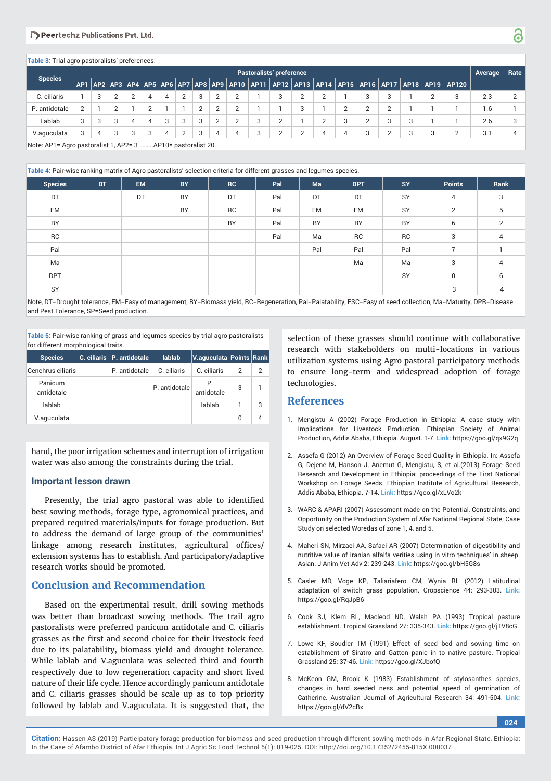#### Departmchz Publications Put Ltd.

#### **Table 3:** Trial agro pastoralists' preferences.

|                |                | Pastoralists' preference |   |    |   |   |   |   |  |   |  |   |  |   | Average | Rate     |  |                                                                                             |              |  |
|----------------|----------------|--------------------------|---|----|---|---|---|---|--|---|--|---|--|---|---------|----------|--|---------------------------------------------------------------------------------------------|--------------|--|
| <b>Species</b> |                |                          |   |    |   |   |   |   |  |   |  |   |  |   |         |          |  | AP1 AP2 AP3 AP4 AP5 AP6 AP7 AP8 AP9 AP10 AP11 AP12 AP13 AP14 AP15 AP16 AP17 AP18 AP19 AP120 |              |  |
| C. ciliaris    |                |                          |   |    | 4 |   | 2 | 3 |  |   |  |   |  |   |         |          |  | ≏                                                                                           | 2.3          |  |
| P. antidotale  | $\overline{2}$ |                          |   |    |   |   |   | C |  |   |  |   |  |   |         | $\Omega$ |  |                                                                                             | $\mathbf{b}$ |  |
| Lablab         | 3              |                          | 3 | Δ. | 4 | 3 | 3 | 3 |  |   |  | ◠ |  |   |         |          |  |                                                                                             | 2.6          |  |
| V.aguculata    | 3              | Δ.                       |   | ર  | 3 | Δ |   | 3 |  | 4 |  | ◠ |  | 4 |         |          |  |                                                                                             | 3.1          |  |
|                |                |                          |   |    |   |   |   |   |  |   |  |   |  |   |         |          |  |                                                                                             |              |  |

Note: AP1= Agro pastoralist 1, AP2= 3 ……...AP10= pastoralist 20.

#### **Table 4:** Pair-wise ranking matrix of Agro pastoralists' selection criteria for different grasses and legumes species.

|                | $\tilde{\phantom{a}}$ | - -       |           |           | $\tilde{\phantom{a}}$ | $\tilde{\phantom{a}}$ | . .        |           |                |      |
|----------------|-----------------------|-----------|-----------|-----------|-----------------------|-----------------------|------------|-----------|----------------|------|
| <b>Species</b> | DT                    | <b>EM</b> | <b>BY</b> | <b>RC</b> | Pal                   | Ma                    | <b>DPT</b> | <b>SY</b> | <b>Points</b>  | Rank |
| DT             |                       | DT        | BY        | DT        | Pal                   | DT                    | DT         | SY        | 4              | 3    |
| EM             |                       |           | BY        | <b>RC</b> | Pal                   | <b>EM</b>             | <b>EM</b>  | SY        | 2              | b    |
| BY             |                       |           |           | BY        | Pal                   | BY                    | BY         | BY        | 6              | 2    |
| ${\sf RC}$     |                       |           |           |           | Pal                   | Ma                    | RC         | <b>RC</b> | 3              | 4    |
| Pal            |                       |           |           |           |                       | Pal                   | Pal        | Pal       | $\overline{ }$ |      |
| Ma             |                       |           |           |           |                       |                       | Ma         | Ma        | 3              | 4    |
| <b>DPT</b>     |                       |           |           |           |                       |                       |            | SY        | 0              | 6    |
| SY             |                       |           |           |           |                       |                       |            |           | 3              | 4    |

Note, DT=Drought tolerance, EM=Easy of management, BY=Biomass yield, RC=Regeneration, Pal=Palatability, ESC=Easy of seed collection, Ma=Maturity, DPR=Disease and Pest Tolerance, SP=Seed production.

**Table 5:** Pair-wise ranking of grass and legumes species by trial agro pastoralists for different morphological traits.

| <b>Species</b>        | C. ciliaris $\vert$ P. antidotale | lablab        | V.aguculata Points Rank |   |   |
|-----------------------|-----------------------------------|---------------|-------------------------|---|---|
| Cenchrus ciliaris     | P. antidotale                     | C. ciliaris   | C. ciliaris             | 2 | 2 |
| Panicum<br>antidotale |                                   | P. antidotale | antidotale              | 3 |   |
| lablab                |                                   |               | lablab                  |   | 3 |
| V.aguculata           |                                   |               |                         | O |   |

hand, the poor irrigation schemes and interruption of irrigation water was also among the constraints during the trial.

#### **Important lesson drawn**

Presently, the trial agro pastoral was able to identified best sowing methods, forage type, agronomical practices, and prepared required materials/inputs for forage production. But to address the demand of large group of the communities' linkage among research institutes, agricultural offices/ extension systems has to establish. And participatory/adaptive research works should be promoted.

## **Conclusion and Recommendation**

Based on the experimental result, drill sowing methods was better than broadcast sowing methods. The trail agro pastoralists were preferred panicum antidotale and C. ciliaris grasses as the first and second choice for their livestock feed due to its palatability, biomass yield and drought tolerance. While lablab and V.aguculata was selected third and fourth respectively due to low regeneration capacity and short lived nature of their life cycle. Hence accordingly panicum antidotale and C. ciliaris grasses should be scale up as to top priority followed by lablab and V.aguculata. It is suggested that, the

selection of these grasses should continue with collaborative research with stakeholders on multi-locations in various utilization systems using Agro pastoral participatory methods to ensure long-term and widespread adoption of forage technologies.

## **References**

- 1. Mengistu A (2002) Forage Production in Ethiopia: A case study with Implications for Livestock Production. Ethiopian Society of Animal Production, Addis Ababa, Ethiopia. August. 1-7. **Link:** https://goo.gl/qx9G2q
- 2. Assefa G (2012) An Overview of Forage Seed Quality in Ethiopia. In: Assefa G, Dejene M, Hanson J, Anemut G, Mengistu, S, et al.(2013) Forage Seed Research and Development in Ethiopia: proceedings of the First National Workshop on Forage Seeds. Ethiopian Institute of Agricultural Research, Addis Ababa, Ethiopia. 7-14. **Link:** https://goo.gl/xLVo2k
- 3. WARC & APARI (2007) Assessment made on the Potential, Constraints, and Opportunity on the Production System of Afar National Regional State; Case Study on selected Woredas of zone 1, 4, and 5.
- 4. Maheri SN, Mirzaei AA, Safaei AR (2007) Determination of digestibility and nutritive value of Iranian alfalfa verities using in vitro techniques' in sheep. Asian. J Anim Vet Adv 2: 239-243. **Link:** https://goo.gl/bH5G8s
- 5. Casler MD, Voge KP, Taliariafero CM, Wynia RL (2012) Latitudinal adaptation of switch grass population. Cropscience 44: 293-303. **Link:** https://goo.gl/RqJpB6
- 6. Cook SJ, Klem RL, Macleod ND, Walsh PA (1993) Tropical pasture establishment. Tropical Grassland 27: 335-343. **Link:** https://goo.gl/jTV8cG
- 7. Lowe KF, Boudler TM (1991) Effect of seed bed and sowing time on establishment of Siratro and Gatton panic in to native pasture. Tropical Grassland 25: 37-46. **Link:** https://goo.gl/XJbofQ
- 8. McKeon GM, Brook K (1983) Establishment of stylosanthes species, changes in hard seeded ness and potential speed of germination of Catherine. Australian Journal of Agricultural Research 34: 491-504. **Link:** https://goo.gl/dV2cBx

**024**